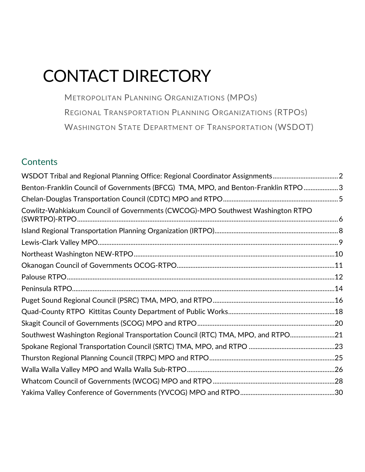# <span id="page-0-0"></span>CONTACT DIRECTORY

METROPOLITAN PLANNING ORGANIZATIONS (MPOS) REGIONAL TRANSPORTATION PLANNING ORGANIZATIONS (RTPOS) WASHINGTON STATE DEPARTMENT OF TRANSPORTATION (WSDOT)

# **Contents**

| WSDOT Tribal and Regional Planning Office: Regional Coordinator Assignments2        |  |
|-------------------------------------------------------------------------------------|--|
| Benton-Franklin Council of Governments (BFCG) TMA, MPO, and Benton-Franklin RTPO  3 |  |
|                                                                                     |  |
| Cowlitz-Wahkiakum Council of Governments (CWCOG)-MPO Southwest Washington RTPO      |  |
|                                                                                     |  |
|                                                                                     |  |
|                                                                                     |  |
|                                                                                     |  |
|                                                                                     |  |
|                                                                                     |  |
|                                                                                     |  |
|                                                                                     |  |
|                                                                                     |  |
| Southwest Washington Regional Transportation Council (RTC) TMA, MPO, and RTPO21     |  |
|                                                                                     |  |
|                                                                                     |  |
|                                                                                     |  |
|                                                                                     |  |
|                                                                                     |  |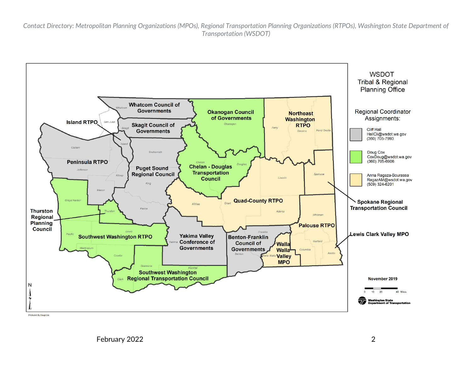<span id="page-1-0"></span>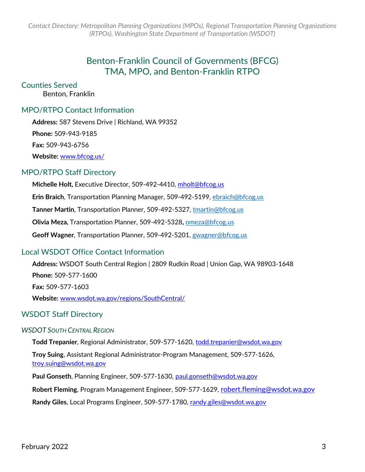# Benton-Franklin Council of Governments (BFCG) TMA, MPO, and Benton-Franklin RTPO

#### <span id="page-2-0"></span>Counties Served

Benton, Franklin

#### MPO/RTPO Contact Information

**Address:** 587 Stevens Drive | Richland, WA 99352

**Phone:** 509-943-9185

**Fax:** 509-943-6756

**Website:** [www.bfcog.us/](http://www.bfcog.us/)

#### MPO/RTPO Staff Directory

**Michelle Holt,** Executive Director, 509-492-4410, [mholt@bfcog.us](mailto:mholt@bfcog.us)  **Erin Braich**, Transportation Planning Manager, 509-492-5199, [ebraich@bfcog.us](mailto:ebraich@bfcog.us) **Tanner Martin**, Transportation Planner, 509-492-5327, [tmartin@bfcog.us](mailto:tmartin@bfcog.us)  **Olivia Meza,** Transportation Planner, 509-492-5328**,** [omeza@bfcog.us](mailto:omeza@bfcog.us) **Geoff Wagner**, Transportation Planner, 509-492-5201, [gwagner@bfcog.us](mailto:gwagner@bfcog.us)

## Local WSDOT Office Contact Information

**Address:** WSDOT South Central Region | 2809 Rudkin Road | Union Gap, WA 98903-1648 **Phone:** 509-577-1600 **Fax:** 509-577-1603 **Website:** [www.wsdot.wa.gov/regions/SouthCentral/](http://www.wsdot.wa.gov/regions/SouthCentral/)

## WSDOT Staff Directory

#### *WSDOT SOUTH CENTRAL REGION*

**Todd Trepanier**, Regional Administrator, 509-577-1620, [todd.trepanier@wsdot.wa.gov](mailto:todd.trepanier@wsdot.wa.gov)

**Troy Suing**, Assistant Regional Administrator-Program Management, 509-577-1626, [troy.suing@wsdot.wa.gov](mailto:troy.suing@wsdot.wa.gov)

**Paul Gonseth**, Planning Engineer, 509-577-1630, [paul.gonseth@wsdot.wa.gov](mailto:paul.gonseth@wsdot.wa.gov)

**Robert Fleming**, Program Management Engineer, 509-577-1629, [robert.fleming@wsdot.wa.gov](mailto:robert.fleming@wsdot.wa.gov)

**Randy Giles**, Local Programs Engineer, 509-577-1780, [randy.giles@wsdot.wa.gov](mailto:randy.giles@wsdot.wa.gov)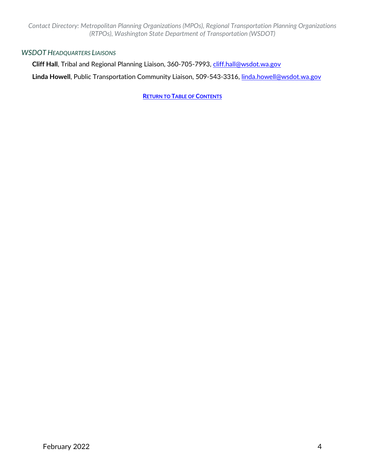#### *WSDOT HEADQUARTERS LIAISONS*

**Cliff Hall**, Tribal and Regional Planning Liaison, 360-705-7993, [cliff.hall@wsdot.wa.gov](mailto:cliff.hall@wsdot.wa.gov)

Linda Howell, Public Transportation Community Liaison, 509-543-3316, [linda.howell@wsdot.wa.gov](mailto:linda.howell@wsdot.wa.gov)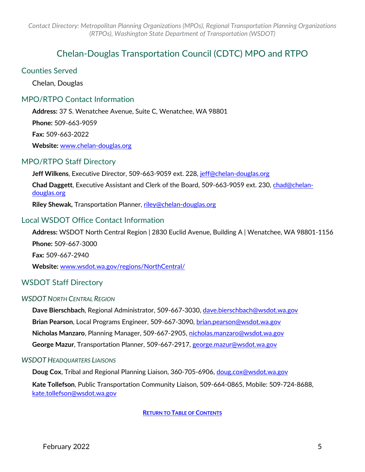# Chelan-Douglas Transportation Council (CDTC) MPO and RTPO

#### <span id="page-4-0"></span>Counties Served

Chelan, Douglas

## MPO/RTPO Contact Information

**Address:** 37 S. Wenatchee Avenue, Suite C, Wenatchee, WA 98801 **Phone:** 509-663-9059 **Fax:** 509-663-2022 **Website:** [www.chelan-douglas.org](http://www.chelan-douglas.org/)

#### MPO/RTPO Staff Directory

Jeff Wilkens, Executive Director, 509-663-9059 ext. 228, [jeff@chelan-douglas.org](mailto:jeff@chelan-douglas.org)

**Chad Daggett**, Executive Assistant and Clerk of the Board, 509-663-9059 ext. 230, [chad@chelan](mailto:chad@chelan-douglas.org)[douglas.org](mailto:chad@chelan-douglas.org)

**Riley Shewak,** Transportation Planner, [riley@chelan-douglas.org](mailto:riley@chelan-douglas.org) 

## Local WSDOT Office Contact Information

**Address:** WSDOT North Central Region | 2830 Euclid Avenue, Building A | Wenatchee, WA 98801-1156 **Phone:** 509-667-3000 **Fax:** 509-667-2940 **Website:** [www.wsdot.wa.gov/regions/NorthCentral/](http://www.wsdot.wa.gov/regions/NorthCentral/)

## WSDOT Staff Directory

#### *WSDOT NORTH CENTRAL REGION*

**Dave Bierschbach**, Regional Administrator, 509-667-3030, [dave.bierschbach@wsdot.wa.gov](mailto:dave.bierschbach@wsdot.wa.gov) **Brian Pearson**, Local Programs Engineer, 509-667-3090, [brian.pearson@wsdot.wa.gov](mailto:brian.pearson@wsdot.wa.gov) **Nicholas Manzaro**, Planning Manager, 509-667-2905, [nicholas.manzaro@wsdot.wa.gov](mailto:nicholas.manzaro@wsdot.wa.gov) **George Mazur**, Transportation Planner, 509-667-2917, [george.mazur@wsdot.wa.gov](mailto:george.mazur@wsdot.wa.gov)

#### *WSDOT HEADQUARTERS LIAISONS*

**Doug Cox**, Tribal and Regional Planning Liaison, 360-705-6906, [doug.cox@wsdot.wa.gov](mailto:doug.cox@wsdot.wa.gov) **Kate Tollefson**, Public Transportation Community Liaison, 509-664-0865, Mobile: 509-724-8688, [kate.tollefson@wsdot.wa.gov](mailto:kate.tollefson@wsdot.wa.gov)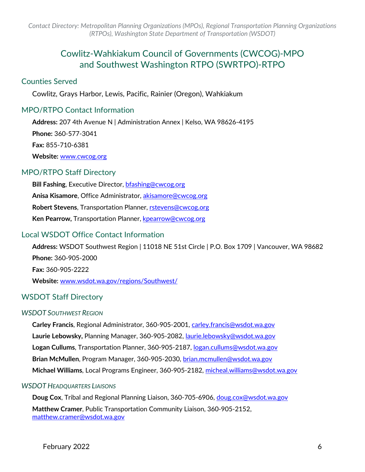# Cowlitz-Wahkiakum Council of Governments (CWCOG)-MPO and Southwest Washington RTPO (SWRTPO)-RTPO

#### <span id="page-5-0"></span>Counties Served

Cowlitz, Grays Harbor, Lewis, Pacific, Rainier (Oregon), Wahkiakum

## MPO/RTPO Contact Information

**Address:** 207 4th Avenue N | Administration Annex | Kelso, WA 98626-4195 **Phone:** 360-577-3041 **Fax:** 855-710-6381 **Website:** [www.cwcog.org](http://www.cwcog.org/)

## MPO/RTPO Staff Directory

**Bill Fashing**, Executive Director, [bfashing@cwcog.org](mailto:bfashing@cwcog.org) **Anisa Kisamore**, Office Administrator, [akisamore@cwcog.org](mailto:akisamore@cwcog.org) **Robert Stevens**, Transportation Planner, [rstevens@cwcog.org](mailto:rstevens@cwcog.org) **Ken Pearrow, Transportation Planner, [kpearrow@cwcog.org](mailto:kpearrow@cwcog.org)** 

## Local WSDOT Office Contact Information

**Address:** WSDOT Southwest Region | 11018 NE 51st Circle | P.O. Box 1709 | Vancouver, WA 98682 **Phone:** 360-905-2000 **Fax:** 360-905-2222 **Website:** [www.wsdot.wa.gov/regions/Southwest/](http://www.wsdot.wa.gov/regions/Southwest/)

## WSDOT Staff Directory

#### *WSDOT SOUTHWEST REGION*

**Carley Francis**, Regional Administrator, 360-905-2001, [carley.francis@wsdot.wa.gov](mailto:carley.francis@wsdot.wa.gov) **Laurie Lebowsky,** Planning Manager, 360-905-2082, [laurie.lebowsky@wsdot.wa.gov](mailto:laurie.lebowsky@wsdot.wa.gov) **Logan Cullums**, Transportation Planner, 360-905-2187, [logan.cullums@wsdot.wa.gov](mailto:logan.cullums@wsdot.wa.gov) **Brian McMullen**, Program Manager, 360-905-2030, [brian.mcmullen@wsdot.wa.gov](mailto:mcmullb@wsdot.wa.gov) **Michael Williams**, Local Programs Engineer, 360-905-2182, [micheal.williams@wsdot.wa.gov](mailto:micheal.williams@wsdot.wa.gov)

#### *WSDOT HEADQUARTERS LIAISONS*

**Doug Cox**, Tribal and Regional Planning Liaison, 360-705-6906, [doug.cox@wsdot.wa.gov](mailto:doug.cox@wsdot.wa.gov) **Matthew Cramer**, Public Transportation Community Liaison, 360-905-2152, [matthew.cramer@wsdot.wa.gov](mailto:matthew.cramer@wsdot.wa.gov)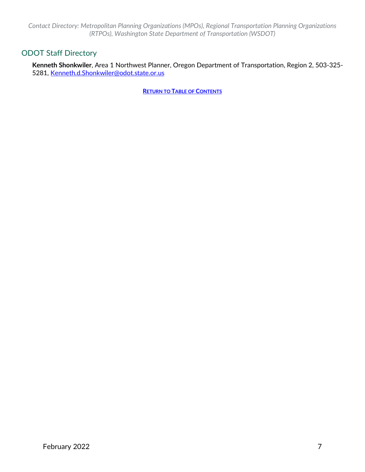## ODOT Staff Directory

**Kenneth Shonkwiler**, Area 1 Northwest Planner, Oregon Department of Transportation, Region 2, 503-325- 5281, [Kenneth.d.Shonkwiler@odot.state.or.us](mailto:Kenneth.d.Shonkwiler@odot.state.or.us)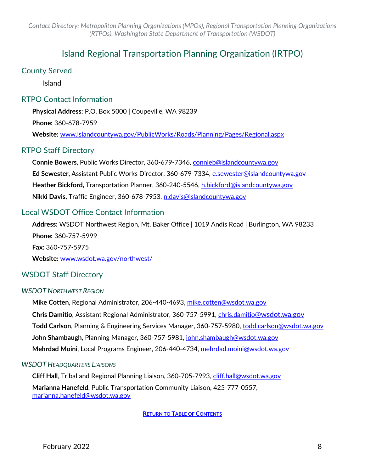# Island Regional Transportation Planning Organization (IRTPO)

## <span id="page-7-0"></span>County Served

Island

## RTPO Contact Information

**Physical Address:** P.O. Box 5000 | Coupeville, WA 98239 **Phone:** 360-678-7959 **Website:** [www.islandcountywa.gov/PublicWorks/Roads/Planning/Pages/Regional.aspx](https://www.islandcountywa.gov/PublicWorks/Roads/Planning/Pages/Regional.aspx)

## RTPO Staff Directory

**Connie Bowers**, Public Works Director, 360-679-7346, [connieb@islandcountywa.gov](mailto:connieb@islandcountywa.gov)  Ed Sewester, Assistant Public Works Director, 360-679-7334, e.sewester@islandcountywa.gov **Heather Bickford,** Transportation Planner, 360-240-5546, [h.bickford@islandcountywa.gov](mailto:h.bickford@islandcountywa.gov) **Nikki Davis,** Traffic Engineer, 360-678-7953, [n.davis@islandcountywa.gov](mailto:n.davis@islandcountywa.gov) 

## Local WSDOT Office Contact Information

**Address:** WSDOT Northwest Region, Mt. Baker Office | 1019 Andis Road | Burlington, WA 98233 **Phone:** 360-757-5999

**Fax:** 360-757-5975

**Website:** [www.wsdot.wa.gov/northwest/](http://www.wsdot.wa.gov/northwest/)

## WSDOT Staff Directory

#### *WSDOT NORTHWEST REGION*

**Mike Cotten**, Regional Administrator, 206-440-4693, [mike.cotten@wsdot.wa.gov](mailto:mike.cotten@wsdot.wa.gov) **Chris Damitio**, Assistant Regional Administrator, 360-757-5991, [chris.damitio@wsdot.wa.gov](mailto:chris.damitio@wsdot.wa.gov)  **Todd Carlson**, Planning & Engineering Services Manager, 360-757-5980, [todd.carlson@wsdot.wa.gov](mailto:todd.carlson@wsdot.wa.gov) **John Shambaugh**, Planning Manager, 360-757-5981, john.shambaugh@wsdot.wa.gov **Mehrdad Moini**, Local Programs Engineer, 206-440-4734, [mehrdad.moini@wsdot.wa.gov](mailto:mehrdad.moini@wsdot.wa.gov)

#### *WSDOT HEADQUARTERS LIAISONS*

**Cliff Hall**, Tribal and Regional Planning Liaison, 360-705-7993, [cliff.hall@wsdot.wa.gov](mailto:cliff.hall@wsdot.wa.gov) **Marianna Hanefeld**, Public Transportation Community Liaison, 425-777-0557, [marianna.hanefeld@wsdot.wa.gov](mailto:marianna.hanefeld@wsdot.wa.gov)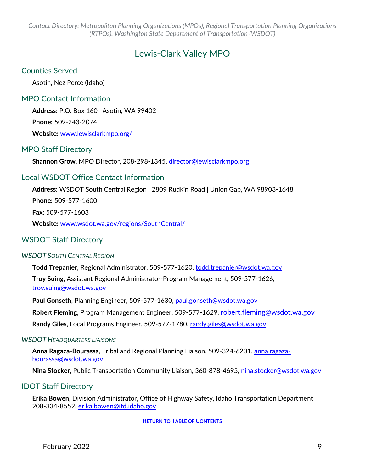# Lewis-Clark Valley MPO

#### <span id="page-8-0"></span>Counties Served

Asotin, Nez Perce (Idaho)

#### MPO Contact Information

**Address:** P.O. Box 160 | Asotin, WA 99402 **Phone:** 509-243-2074

**Website:** [www.lewisclarkmpo.org/](http://www.lewisclarkmpo.org/)

#### MPO Staff Directory

**Shannon Grow**, MPO Director, 208-298-1345, [director@lewisclarkmpo.org](mailto:director@lewisclarkmpo.org)

#### Local WSDOT Office Contact Information

**Address:** WSDOT South Central Region | 2809 Rudkin Road | Union Gap, WA 98903-1648

**Phone:** 509-577-1600

**Fax:** 509-577-1603

**Website:** [www.wsdot.wa.gov/regions/SouthCentral/](http://www.wsdot.wa.gov/regions/SouthCentral/)

#### WSDOT Staff Directory

#### *WSDOT SOUTH CENTRAL REGION*

**Todd Trepanier**, Regional Administrator, 509-577-1620, [todd.trepanier@wsdot.wa.gov](mailto:todd.trepanier@wsdot.wa.gov)

**Troy Suing**, Assistant Regional Administrator-Program Management, 509-577-1626, [troy.suing@wsdot.wa.gov](mailto:troy.suing@wsdot.wa.gov)

**Paul Gonseth**, Planning Engineer, 509-577-1630, [paul.gonseth@wsdot.wa.gov](mailto:gonsetp@wsdot.wa.gov)

**Robert Fleming**, Program Management Engineer, 509-577-1629, [robert.fleming@wsdot.wa.gov](mailto:robert.fleming@wsdot.wa.gov)

Randy Giles, Local Programs Engineer, 509-577-1780, [randy.giles@wsdot.wa.gov](mailto:randy.giles@wsdot.wa.gov)

#### *WSDOT HEADQUARTERS LIAISONS*

**Anna Ragaza-Bourassa**, Tribal and Regional Planning Liaison, 509-324-6201, [anna.ragaza](mailto:anna.ragaza-bourassa@wsdot.wa.gov)[bourassa@wsdot.wa.gov](mailto:anna.ragaza-bourassa@wsdot.wa.gov)

Nina Stocker, Public Transportation Community Liaison, 360-878-4695, [nina.stocker@wsdot.wa.gov](mailto:linda.howell@wsdot.wa.gov)

#### IDOT Staff Directory

**Erika Bowen**, Division Administrator, Office of Highway Safety, Idaho Transportation Department 208-334-8552, [erika.bowen@itd.idaho.gov](mailto:erika.bowen@itd.idaho.gov)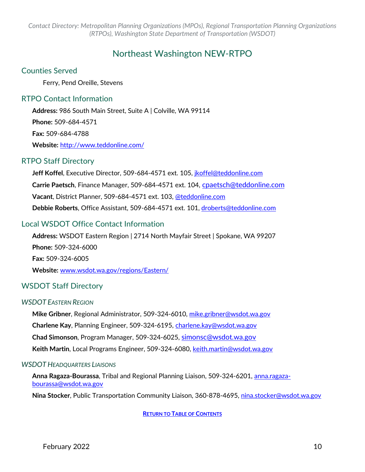# Northeast Washington NEW-RTPO

#### <span id="page-9-0"></span>Counties Served

Ferry, Pend Oreille, Stevens

## RTPO Contact Information

**Address:** 986 South Main Street, Suite A | Colville, WA 99114 **Phone:** 509-684-4571 **Fax:** 509-684-4788 **Website:** <http://www.teddonline.com/>

## RTPO Staff Directory

Jeff Koffel, Executive Director, 509-684-4571 ext. 105, *[jkoffel@teddonline.com](mailto:jkoffel@teddonline.com)* **Carrie Paetsch**, Finance Manager, 509-684-4571 ext. 104, [cpaetsch@teddonline.com](mailto:cpaetsch@teddonline.com) **Vacant**, District Planner, 509-684-4571 ext. 103, [@teddonline.](mailto:srappe@teddonline.com)com **Debbie Roberts**, Office Assistant, 509-684-4571 ext. 101, [droberts@teddonline.com](mailto:droberts@teddonline.com)

## Local WSDOT Office Contact Information

**Address:** WSDOT Eastern Region | 2714 North Mayfair Street | Spokane, WA 99207 **Phone:** 509-324-6000 **Fax:** 509-324-6005 **Website:** [www.wsdot.wa.gov/regions/Eastern/](http://www.wsdot.wa.gov/regions/Eastern/)

## WSDOT Staff Directory

#### *WSDOT EASTERN REGION*

**Mike Gribner**, Regional Administrator, 509-324-6010, [mike.gribner@wsdot.wa.gov](mailto:mike.gribner@wsdot.wa.gov) **Charlene Kay**, Planning Engineer, 509-324-6195, [charlene.kay@wsdot.wa.gov](mailto:kayc@wsdot.wa.gov) **Chad Simonson**, Program Manager, 509-324-6025, [simonsc@wsdot.wa.gov](mailto:simonsc@wsdot.wa.gov) **Keith Martin**, Local Programs Engineer, 509-324-6080, [keith.martin@wsdot.wa.gov](mailto:keith.martin@wsdot.wa.gov)

#### *WSDOT HEADQUARTERS LIAISONS*

**Anna Ragaza-Bourassa**, Tribal and Regional Planning Liaison, 509-324-6201, [anna.ragaza](mailto:anna.ragaza-bourassa@wsdot.wa.gov)[bourassa@wsdot.wa.gov](mailto:anna.ragaza-bourassa@wsdot.wa.gov)

Nina Stocker, Public Transportation Community Liaison, 360-878-4695, [nina.stocker@wsdot.wa.gov](mailto:nina.stocker@wsdot.wa.gov)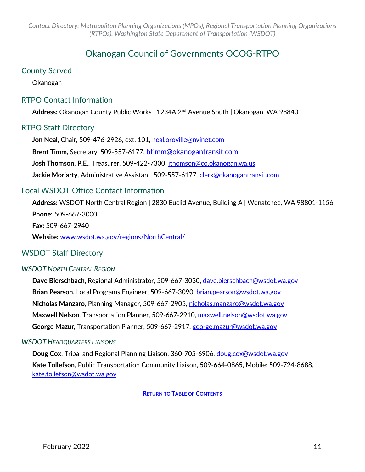# Okanogan Council of Governments OCOG-RTPO

## <span id="page-10-0"></span>County Served

Okanogan

## RTPO Contact Information

**Address:** Okanogan County Public Works | 1234A 2nd Avenue South | Okanogan, WA 98840

## RTPO Staff Directory

**Jon Neal**, Chair, 509-476-2926, ext. 101, [neal.oroville@nvinet.com](mailto:neal.oroville@nvinet.com)  **Brent Timm,** Secretary, 509-557-6177, [btimm@okanogantransit.com](mailto:btimm@okanogantransit.com) **Josh Thomson, P.E.**, Treasurer, 509-422-7300, [jthomson@co.okanogan.wa.us](mailto:jthomson@co.okanogan.wa.us) **Jackie Moriarty**, Administrative Assistant, 509-557-6177, [clerk@okanogantransit.com](mailto:clerk@okanogantransit.com)

## Local WSDOT Office Contact Information

**Address:** WSDOT North Central Region | 2830 Euclid Avenue, Building A | Wenatchee, WA 98801-1156 **Phone:** 509-667-3000 **Fax:** 509-667-2940 **Website:** [www.wsdot.wa.gov/regions/NorthCentral/](http://www.wsdot.wa.gov/regions/NorthCentral/)

## WSDOT Staff Directory

#### *WSDOT NORTH CENTRAL REGION*

**Dave Bierschbach**, Regional Administrator, 509-667-3030, [dave.bierschbach@wsdot.wa.gov](mailto:dave.bierschbach@wsdot.wa.gov) **Brian Pearson**, Local Programs Engineer, 509-667-3090, [brian.pearson@wsdot.wa.gov](mailto:brian.pearson@wsdot.wa.gov) **Nicholas Manzaro**, Planning Manager, 509-667-2905, [nicholas.manzaro@wsdot.wa.gov](mailto:nicholas.manzaro@wsdot.wa.gov) **Maxwell Nelson**, Transportation Planner, 509-667-2910, [maxwell.nelson@wsdot.wa.gov](mailto:maxwell.nelson@wsdot.wa.gov) **George Mazur**, Transportation Planner, 509-667-2917, [george.mazur@wsdot.wa.gov](mailto:george.mazur@wsdot.wa.gov)

#### *WSDOT HEADQUARTERS LIAISONS*

**Doug Cox**, Tribal and Regional Planning Liaison, 360-705-6906, [doug.cox@wsdot.wa.gov](mailto:doug.cox@wsdot.wa.gov) **Kate Tollefson**, Public Transportation Community Liaison, 509-664-0865, Mobile: 509-724-8688, [kate.tollefson@wsdot.wa.gov](mailto:kate.tollefson@wsdot.wa.gov)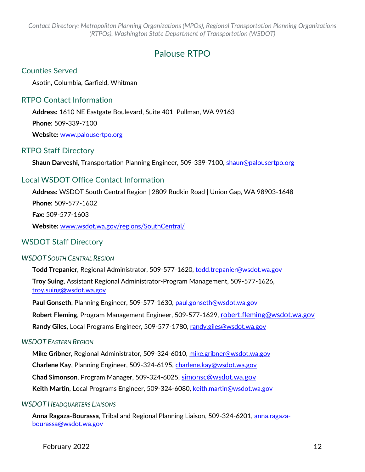# Palouse RTPO

## <span id="page-11-0"></span>Counties Served

Asotin, Columbia, Garfield, Whitman

## RTPO Contact Information

**Address:** 1610 NE Eastgate Boulevard, Suite 401| Pullman, WA 99163 **Phone:** 509-339-7100 **Website:** [www.palousertpo.org](http://www.palousertpo.org/)

#### RTPO Staff Directory

**Shaun Darveshi**, Transportation Planning Engineer, 509-339-7100, [shaun@palousertpo.org](mailto:shaun@palousertpo.org)

## Local WSDOT Office Contact Information

**Address:** WSDOT South Central Region | 2809 Rudkin Road | Union Gap, WA 98903-1648 **Phone:** 509-577-1602 **Fax:** 509-577-1603 **Website:** [www.wsdot.wa.gov/regions/SouthCentral/](http://www.wsdot.wa.gov/regions/SouthCentral/)

## WSDOT Staff Directory

#### *WSDOT SOUTH CENTRAL REGION*

**Todd Trepanier**, Regional Administrator, 509-577-1620, [todd.trepanier@wsdot.wa.gov](mailto:todd.trepanier@wsdot.wa.gov) **Troy Suing**, Assistant Regional Administrator-Program Management, 509-577-1626, [troy.suing@wsdot.wa.gov](mailto:troy.suing@wsdot.wa.gov)

**Paul Gonseth**, Planning Engineer, 509-577-1630, [paul.gonseth@wsdot.wa.gov](mailto:paul.gonseth@wsdot.wa.gov) **Robert Fleming**, Program Management Engineer, 509-577-1629, [robert.fleming@wsdot.wa.gov](mailto:robert.fleming@wsdot.wa.gov) **Randy Giles**, Local Programs Engineer, 509-577-1780, [randy.giles@wsdot.wa.gov](mailto:randy.giles@wsdot.wa.gov)

#### *WSDOT EASTERN REGION*

**Mike Gribner**, Regional Administrator, 509-324-6010, [mike.gribner@wsdot.wa.gov](mailto:mike.gribner@wsdot.wa.gov) **Charlene Kay**, Planning Engineer, 509-324-6195, [charlene.kay@wsdot.wa.gov](mailto:charlene.kay@wsdot.wa.gov) **Chad Simonson**, Program Manager, 509-324-6025, [simonsc@wsdot.wa.gov](mailto:simonsc@wsdot.wa.gov) **Keith Martin**, Local Programs Engineer, 509-324-6080, [keith.martin@wsdot.wa.gov](mailto:keith.martin@wsdot.wa.gov)

#### *WSDOT HEADQUARTERS LIAISONS*

**Anna Ragaza-Bourassa**, Tribal and Regional Planning Liaison, 509-324-6201, [anna.ragaza](mailto:anna.ragaza-bourassa@wsdot.wa.gov)[bourassa@wsdot.wa.gov](mailto:anna.ragaza-bourassa@wsdot.wa.gov)

February 2022 12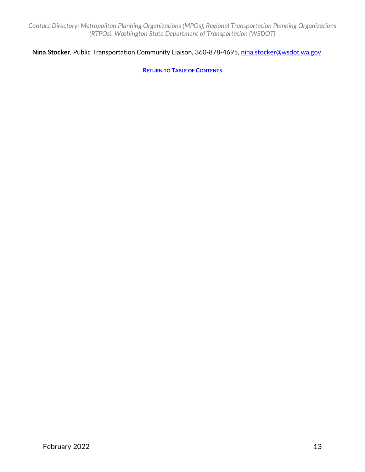## **Nina Stocker**, Public Transportation Community Liaison, 360-878-4695, [nina.stocker@wsdot.wa.gov](mailto:nina.stocker@wsdot.wa.gov)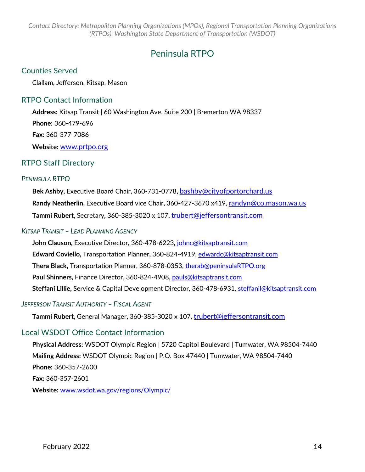# Peninsula RTPO

## <span id="page-13-0"></span>Counties Served

Clallam, Jefferson, Kitsap, Mason

## RTPO Contact Information

**Address:** Kitsap Transit | 60 Washington Ave. Suite 200 | Bremerton WA 98337 **Phone:** 360-479-696 **Fax:** 360-377-7086 **Website:** [www.prtpo.org](http://www.prtpo.org/)

## RTPO Staff Directory

#### *PENINSULA RTPO*

**Bek Ashby,** Executive Board Chair**,** 360-731-0778**,** [bashby@cityofportorchard.us](mailto:bashby@cityofportorchard.us) **Randy Neatherlin,** Executive Board vice Chair**,** 360-427-3670 x419, [randyn@co.mason.wa.us](mailto:randyn@co.mason.wa.us) **Tammi Rubert,** Secretary**,** 360-385-3020 x 107**,** [trubert@jeffersontransit.com](mailto:trubert@jeffersontransit.com)

#### *KITSAP TRANSIT – LEAD PLANNING AGENCY*

**John Clauson,** Executive Director**,** 360-478-6223**,** [johnc@kitsaptransit.com](mailto:johnc@kitsaptransit.com) **Edward Coviello,** Transportation Planner**,** 360-824-4919, [edwardc@kitsaptransit.com](mailto:edwardc@kitsaptransit.com) **Thera Black,** Transportation Planner, 360-878-0353, [therab@peninsulaRTPO.org](mailto:therab@peninsulaRTPO.org) **Paul Shinners,** Finance Director, 360-824-4908, [pauls@kitsaptransit.com](mailto:pauls@kitsaptransit.com) **Steffani Lillie,** Service & Capital Development Director, 360-478-6931, [steffanil@kitsaptransit.com](mailto:steffanil@kitsaptransit.com)

## *JEFFERSON TRANSIT AUTHORITY – FISCAL AGENT*

**Tammi Rubert,** General Manager**,** 360-385-3020 x 107**,** [trubert@jeffersontransit.com](mailto:trubert@jeffersontransit.com)

## Local WSDOT Office Contact Information

**Physical Address:** WSDOT Olympic Region | 5720 Capitol Boulevard | Tumwater, WA 98504-7440 **Mailing Address:** WSDOT Olympic Region | P.O. Box 47440 | Tumwater, WA 98504-7440 **Phone:** 360-357-2600 **Fax:** 360-357-2601 **Website:** [www.wsdot.wa.gov/regions/Olympic/](http://www.wsdot.wa.gov/regions/Olympic/)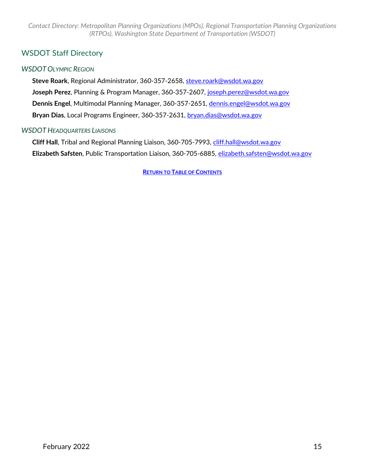## WSDOT Staff Directory

#### *WSDOT OLYMPIC REGION*

**Steve Roark**, Regional Administrator, 360-357-2658, [steve.roark@wsdot.wa.gov](mailto:steve.roark@wsdot.wa.gov) **Joseph Perez**, Planning & Program Manager, 360-357-2607, [joseph.perez@wsdot.wa.gov](mailto:joseph.perez@wsdot.wa.gov) **Dennis Engel**, Multimodal Planning Manager, 360-357-2651, [dennis.engel@wsdot.wa.gov](mailto:dennis.engel@wsdot.wa.gov) **Bryan Dias**, Local Programs Engineer, 360-357-2631, [bryan.dias@wsdot.wa.gov](mailto:bryan.dias@wsdot.wa.gov)

#### *WSDOT HEADQUARTERS LIAISONS*

**Cliff Hall**, Tribal and Regional Planning Liaison, 360-705-7993, [cliff.hall@wsdot.wa.gov](mailto:cliff.hall@wsdot.wa.gov) **Elizabeth Safsten**, Public Transportation Liaison, 360-705-6885, [elizabeth.safsten@wsdot.wa.gov](mailto:elizabeth.safsten@wsdot.wa.gov)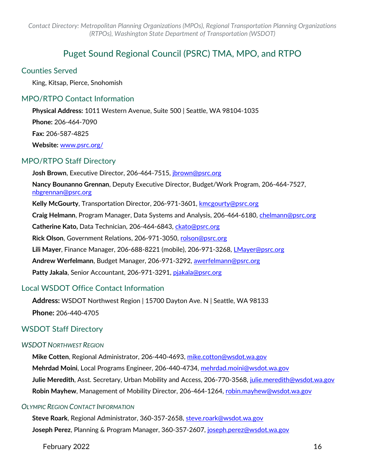# Puget Sound Regional Council (PSRC) TMA, MPO, and RTPO

#### <span id="page-15-0"></span>Counties Served

King, Kitsap, Pierce, Snohomish

## MPO/RTPO Contact Information

**Physical Address:** 1011 Western Avenue, Suite 500 | Seattle, WA 98104-1035 **Phone:** 206-464-7090

**Fax:** 206-587-4825

**Website:** [www.psrc.org/](http://www.psrc.org/)

## MPO/RTPO Staff Directory

**Josh Brown**, Executive Director, 206-464-7515, [jbrown@psrc.org](mailto:jbrown@psrc.org)

**Nancy Bounanno Grennan**, Deputy Executive Director, Budget/Work Program, 206-464-7527, [nbgrennan@psrc.org](mailto:nbgrennan@psrc.org) 

**Kelly McGourty**, Transportation Director, 206-971-3601, [kmcgourty@psrc.org](mailto:kmcgourty@psrc.org)

**Craig Helmann**, Program Manager, Data Systems and Analysis, 206-464-6180, [chelmann@psrc.org](mailto:chelmann@psrc.org)

**Catherine Kato,** Data Technician, 206-464-6843, [ckato@psrc.org](mailto:ckato@psrc.org) 

**Rick Olson, Government Relations, 206-971-3050, [rolson@psrc.org](mailto:rolson@psrc.org)** 

**Lili Mayer**, Finance Manager, 206-688-8221 (mobile), 206-971-3268, [LMayer@psrc.org](mailto:LMayer@psrc.org)

**Andrew Werfelmann**, Budget Manager, 206-971-3292, [awerfelmann@psrc.org](mailto:awerfelmann@psrc.org)

**Patty Jakala**, Senior Accountant, 206-971-3291, [pjakala@psrc.org](mailto:pjakala@psrc.org)

## Local WSDOT Office Contact Information

**Address:** WSDOT Northwest Region | 15700 Dayton Ave. N | Seattle, WA 98133 **Phone:** 206-440-4705

## WSDOT Staff Directory

#### *WSDOT NORTHWEST REGION*

**Mike Cotten**, Regional Administrator, 206-440-4693, [mike.cotton@wsdot.wa.gov](mailto:mike.cotton@wsdot.wa.gov) **Mehrdad Moini**, Local Programs Engineer, 206-440-4734, [mehrdad.moini@wsdot.wa.gov](mailto:mehrdad.moini@wsdot.wa.gov) Julie Meredith, Asst. Secretary, Urban Mobility and Access, 206-770-3568, julie.meredith@wsdot.wa.gov **Robin Mayhew**, Management of Mobility Director, 206-464-1264, [robin.mayhew@wsdot.wa.gov](mailto:robin.mayhew@wsdot.wa.gov)

#### *OLYMPIC REGION CONTACT INFORMATION*

**Steve Roark**, Regional Administrator, 360-357-2658, [steve.roark@wsdot.wa.gov](mailto:steve.roark@wsdot.wa.gov) **Joseph Perez**, Planning & Program Manager, 360-357-2607, [joseph.perez@wsdot.wa.gov](mailto:joseph.perez@wsdot.wa.gov)

February 2022 16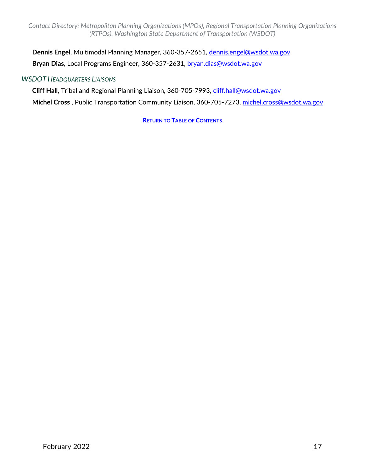**Dennis Engel**, Multimodal Planning Manager, 360-357-2651, [dennis.engel@wsdot.wa.gov](mailto:dennis.engel@wsdot.wa.gov) **Bryan Dias**, Local Programs Engineer, 360-357-2631, [bryan.dias@wsdot.wa.gov](mailto:bryan.dias@wsdot.wa.gov)

#### *WSDOT HEADQUARTERS LIAISONS*

**Cliff Hall**, Tribal and Regional Planning Liaison, 360-705-7993, [cliff.hall@wsdot.wa.gov](mailto:cliff.hall@wsdot.wa.gov)

**Michel Cross** , Public Transportation Community Liaison, 360-705-7273, [michel.cross@wsdot.wa.gov](mailto:monica.ghosh@wsdot.wa.gov)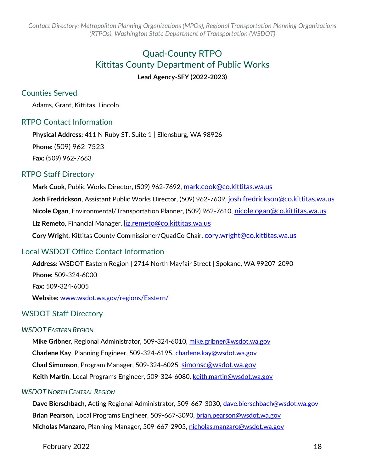# Quad-County RTPO Kittitas County Department of Public Works **Lead Agency-SFY (2022-2023)**

## <span id="page-17-0"></span>Counties Served

Adams, Grant, Kittitas, Lincoln

## RTPO Contact Information

**Physical Address:** 411 N Ruby ST, Suite 1 | Ellensburg, WA 98926 **Phone:** (509) 962-7523 **Fax:** (509) 962-7663

#### RTPO Staff Directory

**Mark Cook**, Public Works Director, (509) 962-7692, [mark.cook@co.kittitas.wa.us](mailto:mark.cook@co.kittitas.wa.us) Josh Fredrickson, Assistant Public Works Director, (509) 962-7609, [josh.fredrickson@co.kittitas.wa.us](mailto:josh.fredrickson@co.kittitas.wa.us) **Nicole Ogan**, Environmental/Transportation Planner, (509) 962-7610, [nicole.ogan@co.kittitas.wa.us](mailto:nicole.ogan@co.kittitas.wa.us) **Liz Remeto**, Financial Manager, [liz.remeto@co.kittitas.wa.us](mailto:liz.remeto@co.kittitas.wa.us) **Cory Wright**, Kittitas County Commissioner/QuadCo Chair, [cory.wright@co.kittitas.wa.us](mailto:cory.wright@co.kittitas.wa.us)

## Local WSDOT Office Contact Information

**Address:** WSDOT Eastern Region | 2714 North Mayfair Street | Spokane, WA 99207-2090 **Phone:** 509-324-6000 **Fax:** 509-324-6005 **Website:** [www.wsdot.wa.gov/regions/Eastern/](http://www.wsdot.wa.gov/regions/Eastern/)

## WSDOT Staff Directory

#### *WSDOT EASTERN REGION*

**Mike Gribner**, Regional Administrator, 509-324-6010, [mike.gribner@wsdot.wa.gov](mailto:mike.gribner@wsdot.wa.gov) **Charlene Kay**, Planning Engineer, 509-324-6195, [charlene.kay@wsdot.wa.gov](mailto:charlene.kay@wsdot.wa.gov) **Chad Simonson**, Program Manager, 509-324-6025, [simonsc@wsdot.wa.gov](mailto:simonsc@wsdot.wa.gov) Keith Martin, Local Programs Engineer, 509-324-6080, [keith.martin@wsdot.wa.gov](mailto:keith.martin@wsdot.wa.gov)

#### *WSDOT NORTH CENTRAL REGION*

**Dave Bierschbach**, Acting Regional Administrator, 509-667-3030, [dave.bierschbach@wsdot.wa.gov](mailto:dave.bierschbach@wsdot.wa.gov) **Brian Pearson**, Local Programs Engineer, 509-667-3090, [brian.pearson@wsdot.wa.gov](mailto:brian.pearson@wsdot.wa.gov) **Nicholas Manzaro**, Planning Manager, 509-667-2905, [nicholas.manzaro@wsdot.wa.gov](mailto:nicholas.manzaro@wsdot.wa.gov)

February 2022 18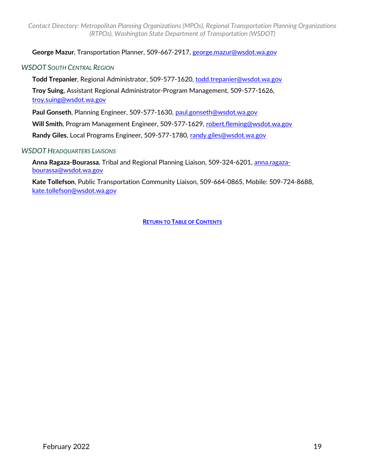**George Mazur**, Transportation Planner, 509-667-2917, [george.mazur@wsdot.wa.gov](mailto:george.mazur@wsdot.wa.gov)

#### *WSDOT SOUTH CENTRAL REGION*

**Todd Trepanier**, Regional Administrator, 509-577-1620, [todd.trepanier@wsdot.wa.gov](mailto:todd.trepanier@wsdot.wa.gov)

**Troy Suing**, Assistant Regional Administrator-Program Management, 509-577-1626, [troy.suing@wsdot.wa.gov](mailto:troy.suing@wsdot.wa.gov)

**Paul Gonseth**, Planning Engineer, 509-577-1630, [paul.gonseth@wsdot.wa.gov](mailto:paul.gonseth@wsdot.wa.gov)

**Will Smith**, Program Management Engineer, 509-577-1629, [robert.fleming@wsdot.wa.gov](mailto:robert.fleming@wsdot.wa.gov)

**Randy Giles**, Local Programs Engineer, 509-577-1780, [randy.giles@wsdot.wa.gov](mailto:randy.giles@wsdot.wa.gov)

#### *WSDOT HEADQUARTERS LIAISONS*

**Anna Ragaza-Bourassa**, Tribal and Regional Planning Liaison, 509-324-6201, [anna.ragaza](mailto:anna.ragaza-bourassa@wsdot.wa.gov)[bourassa@wsdot.wa.gov](mailto:anna.ragaza-bourassa@wsdot.wa.gov)

**Kate Tollefson**, Public Transportation Community Liaison, 509-664-0865, Mobile: 509-724-8688, [kate.tollefson@wsdot.wa.gov](mailto:kate.tollefson@wsdot.wa.gov)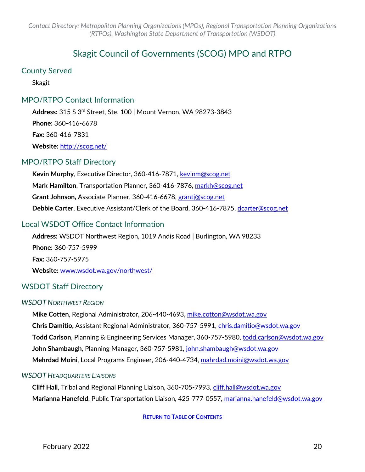# Skagit Council of Governments (SCOG) MPO and RTPO

#### <span id="page-19-0"></span>County Served

Skagit

## MPO/RTPO Contact Information

**Address:** 315 S 3rd Street, Ste. 100 | Mount Vernon, WA 98273-3843 **Phone:** 360-416-6678 **Fax:** 360-416-7831 **Website:** <http://scog.net/>

## MPO/RTPO Staff Directory

**Kevin Murphy**, Executive Director, 360-416-7871, [kevinm@scog.net](mailto:kevinm@scog.net) **Mark Hamilton**, Transportation Planner, 360-416-7876, [markh@scog.net](mailto:markh@scog.net) **Grant Johnson,** Associate Planner, 360-416-6678, grantj@scog.net **Debbie Carter**, Executive Assistant/Clerk of the Board, 360-416-7875, [dcarter@scog.net](mailto:pamc@scog.net)

## Local WSDOT Office Contact Information

**Address:** WSDOT Northwest Region, 1019 Andis Road | Burlington, WA 98233 **Phone:** 360-757-5999 **Fax:** 360-757-5975 **Website:** [www.wsdot.wa.gov/northwest/](http://www.wsdot.wa.gov/northwest/)

## WSDOT Staff Directory

#### *WSDOT NORTHWEST REGION*

**Mike Cotten**, Regional Administrator, 206-440-4693, [mike.cotton@wsdot.wa.gov](mailto:mike.cotton@wsdot.wa.gov) **Chris Damitio,** Assistant Regional Administrator, 360-757-5991, [chris.damitio@wsdot.wa.gov](mailto:chris.damitio@wsdot.wa.gov) Todd Carlson, Planning & Engineering Services Manager, 360-757-5980, [todd.carlson@wsdot.wa.gov](mailto:todd.carlson@wsdot.wa.gov) **John Shambaugh**, Planning Manager, 360-757-5981, [john.shambaugh@wsdot.wa.gov](mailto:john.shambaugh@wsdot.wa.gov) **Mehrdad Moini**, Local Programs Engineer, 206-440-4734, [mahrdad.moini@wsdot.wa.gov](mailto:mahrdad.moini@wsdot.wa.gov)

#### *WSDOT HEADQUARTERS LIAISONS*

**Cliff Hall**, Tribal and Regional Planning Liaison, 360-705-7993, [cliff.hall@wsdot.wa.gov](mailto:cliff.hall@wsdot.wa.gov) **Marianna Hanefeld**, Public Transportation Liaison, 425-777-0557, [marianna.hanefeld@wsdot.wa.gov](mailto:marianna.hanefeld@wsdot.wa.gov)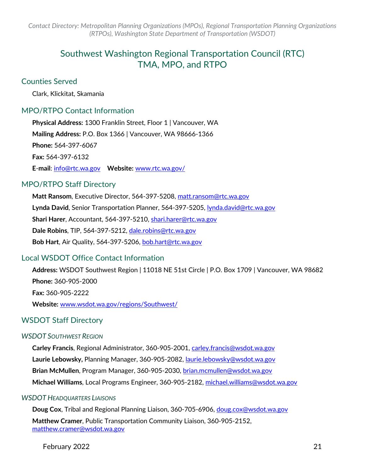# Southwest Washington Regional Transportation Council (RTC) TMA, MPO, and RTPO

#### <span id="page-20-0"></span>Counties Served

Clark, Klickitat, Skamania

## MPO/RTPO Contact Information

**Physical Address:** 1300 Franklin Street, Floor 1 | Vancouver, WA **Mailing Address:** P.O. Box 1366 | Vancouver, WA 98666-1366 **Phone:** 564-397-6067 **Fax:** 564-397-6132 **E**-**mail**: [info@rtc.wa.gov](mailto:info@rtc.wa.gov) **Website:** [www.rtc.wa.gov/](http://www.rtc.wa.gov/)

## MPO/RTPO Staff Directory

**Matt Ransom**, Executive Director, 564-397-5208, [matt.ransom@rtc.wa.gov](mailto:matt.ransom@rtc.wa.gov) **Lynda David**, Senior Transportation Planner, 564-397-5205, [lynda.david@rtc.wa.gov](mailto:lynda.david@rtc.wa.gov) **Shari Harer**, Accountant, 564-397-5210, [shari.harer@rtc.wa.gov](mailto:shari.harer@rtc.wa.gov) **Dale Robins**, TIP, 564-397-5212, [dale.robins@rtc.wa.gov](mailto:dale.robins@rtc.wa.gov) **Bob Hart**, Air Quality, 564-397-5206, [bob.hart@rtc.wa.gov](mailto:bob.hart@rtc.wa.gov)

## Local WSDOT Office Contact Information

**Address:** WSDOT Southwest Region | 11018 NE 51st Circle | P.O. Box 1709 | Vancouver, WA 98682 **Phone:** 360-905-2000 **Fax:** 360-905-2222 **Website:** [www.wsdot.wa.gov/regions/Southwest/](http://www.wsdot.wa.gov/regions/Southwest/)

## WSDOT Staff Directory

#### *WSDOT SOUTHWEST REGION*

**Carley Francis**, Regional Administrator, 360-905-2001, [carley.francis@wsdot.wa.gov](mailto:carley.francis@wsdot.wa.gov) **Laurie Lebowsky,** Planning Manager, 360-905-2082, [laurie.lebowsky@wsdot.wa.gov](mailto:laurie.lebowsky@wsdot.wa.gov) **Brian McMullen**, Program Manager, 360-905-2030, [brian.mcmullen@wsdot.wa.gov](mailto:brian.mcmullen@wsdot.wa.gov) **Michael Williams**, Local Programs Engineer, 360-905-2182, [michael.williams@wsdot.wa.gov](mailto:michael.williams@wsdot.wa.gov)

#### *WSDOT HEADQUARTERS LIAISONS*

**Doug Cox**, Tribal and Regional Planning Liaison, 360-705-6906, [doug.cox@wsdot.wa.gov](mailto:doug.cox@wsdot.wa.gov)

**Matthew Cramer**, Public Transportation Community Liaison, 360-905-2152, [matthew.cramer@wsdot.wa.gov](mailto:matthew.cramer@wsdot.wa.gov)

February 2022 21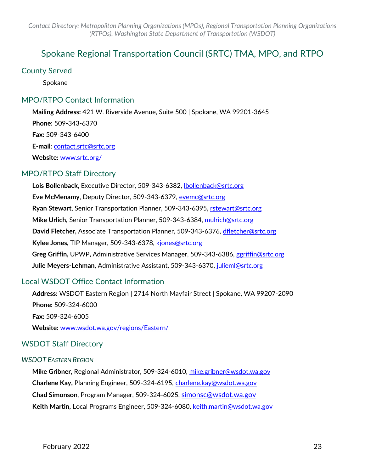# <span id="page-22-0"></span>Spokane Regional Transportation Council (SRTC) TMA, MPO, and RTPO

#### County Served

Spokane

## MPO/RTPO Contact Information

**Mailing Address:** 421 W. Riverside Avenue, Suite 500 | Spokane, WA 99201-3645 **Phone:** 509-343-6370 **Fax:** 509-343-6400 **E**-**mail**: [contact.srtc@srtc.org](mailto:contact.srtc@srtc.org) **Website:** [www.srtc.org/](http://www.srtc.org/)

## MPO/RTPO Staff Directory

**Lois Bollenback,** Executive Director, 509-343-6382, [lbollenback@srtc.org](mailto:lbollenback@srtc.org) **Eve McMenamy**, Deputy Director, 509-343-6379, [evemc@srtc.org](mailto:evemc@srtc.org) **Ryan Stewart**, Senior Transportation Planner, 509-343-6395, [rstewart@srtc.org](mailto:rstewart@srtc.org) **Mike Urlich,** Senior Transportation Planner, 509-343-6384, [mulrich@srtc.org](mailto:mulrich@srtc.org)  **David Fletcher,** Associate Transportation Planner, 509-343-6376, [dfletcher@srtc.org](mailto:dfletcher@srtc.org) **Kylee Jones,** TIP Manager, 509-343-6378, [kjones@srtc.org](mailto:kjones@srtc.org)  **Greg Griffin,** UPWP**,** Administrative Services Manager, 509-343-6386, [ggriffin@srtc.org](mailto:ggriffin@srtc.org) **Julie Meyers-Lehman**, Administrative Assistant, 509-343-6370, [julieml@srtc.org](mailto:julieml@srtc.org)

## Local WSDOT Office Contact Information

**Address:** WSDOT Eastern Region | 2714 North Mayfair Street | Spokane, WA 99207-2090 **Phone:** 509-324-6000 **Fax:** 509-324-6005 **Website:** [www.wsdot.wa.gov/regions/Eastern/](http://www.wsdot.wa.gov/regions/Eastern/)

## WSDOT Staff Directory

#### *WSDOT EASTERN REGION*

**Mike Gribner,** Regional Administrator, 509-324-6010, [mike.gribner@wsdot.wa.gov](mailto:mike.gribner@wsdot.wa.gov) **Charlene Kay,** Planning Engineer, 509-324-6195, [charlene.kay@wsdot.wa.gov](mailto:charlene.kay@wsdot.wa.gov) **Chad Simonson**, Program Manager, 509-324-6025, [simonsc@wsdot.wa.gov](mailto:simonsc@wsdot.wa.gov) **Keith Martin,** Local Programs Engineer, 509-324-6080, [keith.martin@wsdot.wa.gov](mailto:keith.martin@wsdot.wa.gov)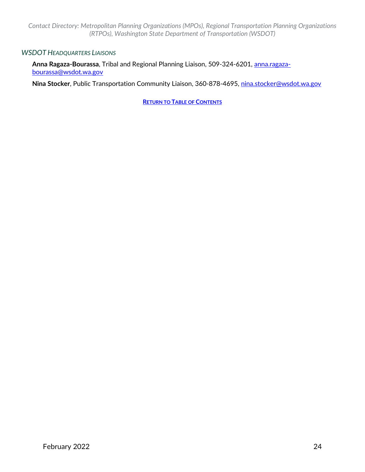#### *WSDOT HEADQUARTERS LIAISONS*

**Anna Ragaza-Bourassa**, Tribal and Regional Planning Liaison, 509-324-6201, [anna.ragaza](mailto:anna.ragaza-bourassa@wsdot.wa.gov)[bourassa@wsdot.wa.gov](mailto:anna.ragaza-bourassa@wsdot.wa.gov)

**Nina Stocker**, Public Transportation Community Liaison, 360-878-4695, [nina.stocker@wsdot.wa.gov](mailto:nina.stocker@wsdot.wa.gov)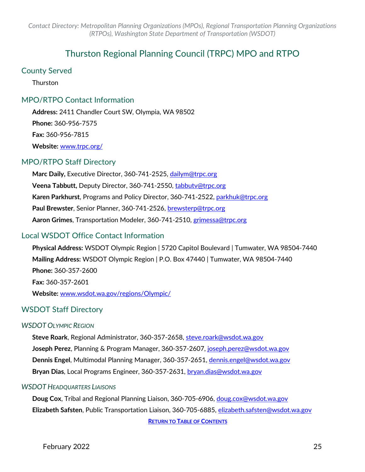# Thurston Regional Planning Council (TRPC) MPO and RTPO

#### <span id="page-24-0"></span>County Served

Thurston

## MPO/RTPO Contact Information

**Address:** 2411 Chandler Court SW, Olympia, WA 98502 **Phone:** 360-956-7575 **Fax:** 360-956-7815 **Website:** [www.trpc.org/](http://www.trpc.org/)

## MPO/RTPO Staff Directory

**Marc Daily,** Executive Director, 360-741-2525, [dailym@trpc.org](mailto:dailym@trpc.org) **Veena Tabbutt,** Deputy Director, 360-741-2550, [tabbutv@trpc.org](mailto:tabbutv@trpc.org) **Karen Parkhurst**, Programs and Policy Director, 360-741-2522, [parkhuk@trpc.org](mailto:parkhuk@trpc.org) **Paul Brewster**, Senior Planner, 360-741-2526, [brewsterp@trpc.org](mailto:brewsterp@trpc.org) **Aaron Grimes**, Transportation Modeler, 360-741-2510, [grimessa@trpc.org](mailto:grimessa@trpc.org)

## Local WSDOT Office Contact Information

**Physical Address:** WSDOT Olympic Region | 5720 Capitol Boulevard | Tumwater, WA 98504-7440 **Mailing Address:** WSDOT Olympic Region | P.O. Box 47440 | Tumwater, WA 98504-7440 **Phone:** 360-357-2600 **Fax:** 360-357-2601 **Website:** [www.wsdot.wa.gov/regions/Olympic/](http://www.wsdot.wa.gov/regions/Olympic/)

## WSDOT Staff Directory

#### *WSDOT OLYMPIC REGION*

**Steve Roark**, Regional Administrator, 360-357-2658, [steve.roark@wsdot.wa.gov](mailto:steve.roark@wsdot.wa.gov) **Joseph Perez**, Planning & Program Manager, 360-357-2607, [joseph.perez@wsdot.wa.gov](mailto:joseph.perez@wsdot.wa.gov) **Dennis Engel**, Multimodal Planning Manager, 360-357-2651, [dennis.engel@wsdot.wa.gov](mailto:dennis.engel@wsdot.wa.gov) **Bryan Dias**, Local Programs Engineer, 360-357-2631, [bryan.dias@wsdot.wa.gov](mailto:bryan.dias@wsdot.wa.gov)

#### *WSDOT HEADQUARTERS LIAISONS*

**Doug Cox**, Tribal and Regional Planning Liaison, 360-705-6906, [doug.cox@wsdot.wa.gov](mailto:doug.cox@wsdot.wa.gov)  **Elizabeth Safsten**, Public Transportation Liaison, 360-705-6885, [elizabeth.safsten@wsdot.wa.gov](mailto:elizabeth.safsten@wsdot.wa.gov) **[RETURN TO TABLE OF CONTENTS](#page-0-0)**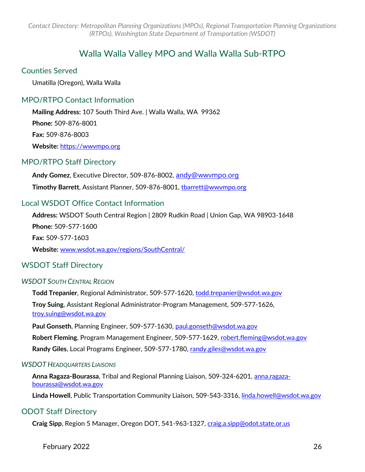# Walla Walla Valley MPO and Walla Walla Sub-RTPO

#### <span id="page-25-0"></span>Counties Served

Umatilla (Oregon), Walla Walla

## MPO/RTPO Contact Information

**Mailing Address:** 107 South Third Ave. | Walla Walla, WA 99362 **Phone:** 509-876-8001 **Fax:** 509-876-8003 **Website:** [https://wwvmpo.org](https://wwvmpo.org/)

## MPO/RTPO Staff Directory

**Andy Gomez**, Executive Director, 509-876-8002, [andy@wwvmpo.org](mailto:andy@wwvmpo.org) **Timothy Barrett**, Assistant Planner, 509-876-8001, tbarrett@wwvmpo.org

## Local WSDOT Office Contact Information

**Address:** WSDOT South Central Region | 2809 Rudkin Road | Union Gap, WA 98903-1648 **Phone:** 509-577-1600 **Fax:** 509-577-1603 **Website:** [www.wsdot.wa.gov/regions/SouthCentral/](http://www.wsdot.wa.gov/regions/SouthCentral/)

## WSDOT Staff Directory

#### *WSDOT SOUTH CENTRAL REGION*

**Todd Trepanier**, Regional Administrator, 509-577-1620, [todd.trepanier@wsdot.wa.gov](mailto:todd.trepanier@wsdot.wa.gov)

**Troy Suing**, Assistant Regional Administrator-Program Management, 509-577-1626, [troy.suing@wsdot.wa.gov](mailto:troy.suing@wsdot.wa.gov)

**Paul Gonseth**, Planning Engineer, 509-577-1630, [paul.gonseth@wsdot.wa.gov](mailto:paul.gonseth@wsdot.wa.gov)

**Robert Fleming**, Program Management Engineer, 509-577-1629, [robert.fleming@wsdot.wa.gov](mailto:robert.fleming@wsdot.wa.gov)

**Randy Giles**, Local Programs Engineer, 509-577-1780, [randy.giles@wsdot.wa.gov](mailto:randy.giles@wsdot.wa.gov)

#### *WSDOT HEADQUARTERS LIAISONS*

**Anna Ragaza-Bourassa**, Tribal and Regional Planning Liaison, 509-324-6201, [anna.ragaza](mailto:anna.ragaza-bourassa@wsdot.wa.gov)[bourassa@wsdot.wa.gov](mailto:anna.ragaza-bourassa@wsdot.wa.gov)

Linda Howell, Public Transportation Community Liaison, 509-543-3316, *linda.howell@wsdot.wa.gov* 

## ODOT Staff Directory

**Craig Sipp**, Region 5 Manager, Oregon DOT, 541-963-1327, [craig.a.sipp@odot.state.or.us](mailto:craig.a.sipp@odot.state.or.us)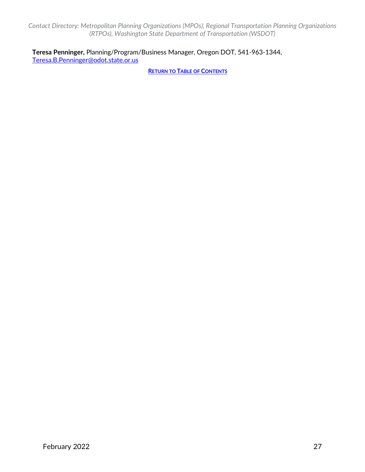**Teresa Penninger,** Planning/Program/Business Manager, Oregon DOT, 541-963-1344, [Teresa.B.Penninger@odot.state.or.us](mailto:Teresa.B.Penninger@odot.state.or.us)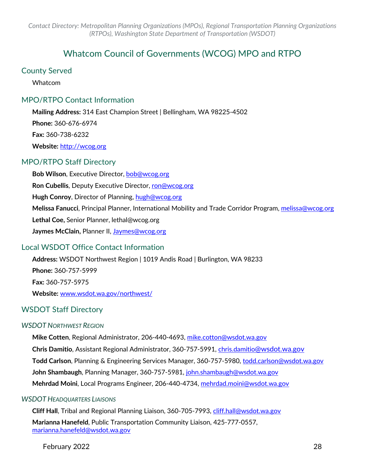# Whatcom Council of Governments (WCOG) MPO and RTPO

#### <span id="page-27-0"></span>County Served

Whatcom

## MPO/RTPO Contact Information

**Mailing Address:** 314 East Champion Street | Bellingham, WA 98225-4502 **Phone:** 360-676-6974 **Fax:** 360-738-6232 **Website:** [http://wcog.org](http://wcog.org/)

## MPO/RTPO Staff Directory

**Bob Wilson**, Executive Director[, bob@wcog.org](mailto:bob@wcog.org) **Ron Cubellis**, Deputy Executive Director, [ron@wcog.org](mailto:ron@wcog.org) **Hugh Conroy**, Director of Planning, [hugh@wcog.org](mailto:hugh@wcog.org) **Melissa Fanucci**, Principal Planner, International Mobility and Trade Corridor Program, [melissa@wcog.org](mailto:melissa@wcog.org) **Lethal Coe,** Senior Planner, lethal@wcog.org **Jaymes McClain,** Planner II, [Jaymes@wcog.org](mailto:Jaymes@wcog.org)

## Local WSDOT Office Contact Information

**Address:** WSDOT Northwest Region | 1019 Andis Road | Burlington, WA 98233 **Phone:** 360-757-5999 **Fax:** 360-757-5975 **Website:** [www.wsdot.wa.gov/northwest/](http://www.wsdot.wa.gov/northwest/)

## WSDOT Staff Directory

#### *WSDOT NORTHWEST REGION*

**Mike Cotten**, Regional Administrator, 206-440-4693, [mike.cotton@wsdot.wa.gov](mailto:mike.cotton@wsdot.wa.gov)

**Chris Damitio**, Assistant Regional Administrator, 360-757-5991, [chris.damitio@wsdot.wa.gov](mailto:chris.damitio@wsdot.wa.gov) 

**Todd Carlson**, Planning & Engineering Services Manager, 360-757-5980, [todd.carlson@wsdot.wa.gov](mailto:todd.carlson@wsdot.wa.gov)

**John Shambaugh**, Planning Manager, 360-757-5981, [john.shambaugh@wsdot.wa.gov](mailto:john.shambaugh@wsdot.wa.gov)

**Mehrdad Moini**, Local Programs Engineer, 206-440-4734, [mehrdad.moini@wsdot.wa.gov](mailto:mehrdad.moini@wsdot.wa.gov)

#### *WSDOT HEADQUARTERS LIAISONS*

**Cliff Hall**, Tribal and Regional Planning Liaison, 360-705-7993, [cliff.hall@wsdot.wa.gov](mailto:cliff.hall@wsdot.wa.gov)

**Marianna Hanefeld**, Public Transportation Community Liaison, 425-777-0557, [marianna.hanefeld@wsdot.wa.gov](mailto:marianna.hanefeld@wsdot.wa.gov)

February 2022 28